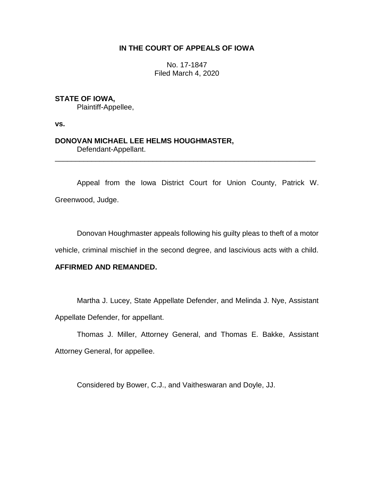# **IN THE COURT OF APPEALS OF IOWA**

No. 17-1847 Filed March 4, 2020

# **STATE OF IOWA,**

Plaintiff-Appellee,

**vs.**

# **DONOVAN MICHAEL LEE HELMS HOUGHMASTER,** Defendant-Appellant.

Appeal from the Iowa District Court for Union County, Patrick W.

\_\_\_\_\_\_\_\_\_\_\_\_\_\_\_\_\_\_\_\_\_\_\_\_\_\_\_\_\_\_\_\_\_\_\_\_\_\_\_\_\_\_\_\_\_\_\_\_\_\_\_\_\_\_\_\_\_\_\_\_\_\_\_\_

Greenwood, Judge.

Donovan Houghmaster appeals following his guilty pleas to theft of a motor

vehicle, criminal mischief in the second degree, and lascivious acts with a child.

## **AFFIRMED AND REMANDED.**

Martha J. Lucey, State Appellate Defender, and Melinda J. Nye, Assistant Appellate Defender, for appellant.

Thomas J. Miller, Attorney General, and Thomas E. Bakke, Assistant Attorney General, for appellee.

Considered by Bower, C.J., and Vaitheswaran and Doyle, JJ.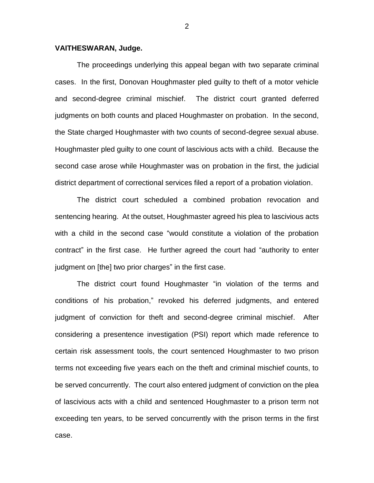### **VAITHESWARAN, Judge.**

The proceedings underlying this appeal began with two separate criminal cases. In the first, Donovan Houghmaster pled guilty to theft of a motor vehicle and second-degree criminal mischief. The district court granted deferred judgments on both counts and placed Houghmaster on probation. In the second, the State charged Houghmaster with two counts of second-degree sexual abuse. Houghmaster pled guilty to one count of lascivious acts with a child. Because the second case arose while Houghmaster was on probation in the first, the judicial district department of correctional services filed a report of a probation violation.

The district court scheduled a combined probation revocation and sentencing hearing. At the outset, Houghmaster agreed his plea to lascivious acts with a child in the second case "would constitute a violation of the probation contract" in the first case. He further agreed the court had "authority to enter judgment on [the] two prior charges" in the first case.

The district court found Houghmaster "in violation of the terms and conditions of his probation," revoked his deferred judgments, and entered judgment of conviction for theft and second-degree criminal mischief. After considering a presentence investigation (PSI) report which made reference to certain risk assessment tools, the court sentenced Houghmaster to two prison terms not exceeding five years each on the theft and criminal mischief counts, to be served concurrently. The court also entered judgment of conviction on the plea of lascivious acts with a child and sentenced Houghmaster to a prison term not exceeding ten years, to be served concurrently with the prison terms in the first case.

2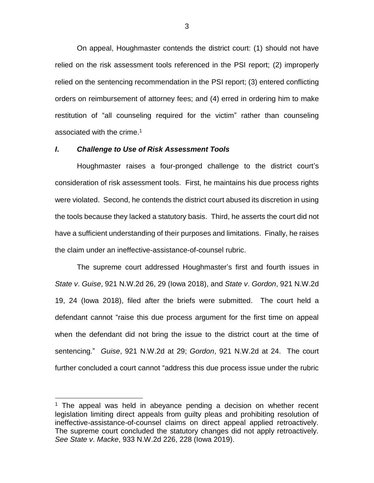On appeal, Houghmaster contends the district court: (1) should not have relied on the risk assessment tools referenced in the PSI report; (2) improperly relied on the sentencing recommendation in the PSI report; (3) entered conflicting orders on reimbursement of attorney fees; and (4) erred in ordering him to make restitution of "all counseling required for the victim" rather than counseling associated with the crime.<sup>1</sup>

#### *I***.** *Challenge to Use of Risk Assessment Tools*

 $\overline{a}$ 

Houghmaster raises a four-pronged challenge to the district court's consideration of risk assessment tools. First, he maintains his due process rights were violated. Second, he contends the district court abused its discretion in using the tools because they lacked a statutory basis. Third, he asserts the court did not have a sufficient understanding of their purposes and limitations. Finally, he raises the claim under an ineffective-assistance-of-counsel rubric.

The supreme court addressed Houghmaster's first and fourth issues in *State v*. *Guise*, 921 N.W.2d 26, 29 (Iowa 2018), and *State v*. *Gordon*, 921 N.W.2d 19, 24 (Iowa 2018), filed after the briefs were submitted. The court held a defendant cannot "raise this due process argument for the first time on appeal when the defendant did not bring the issue to the district court at the time of sentencing." *Guise*, 921 N.W.2d at 29; *Gordon*, 921 N.W.2d at 24. The court further concluded a court cannot "address this due process issue under the rubric

 $1$  The appeal was held in abeyance pending a decision on whether recent legislation limiting direct appeals from guilty pleas and prohibiting resolution of ineffective-assistance-of-counsel claims on direct appeal applied retroactively. The supreme court concluded the statutory changes did not apply retroactively. *See State v*. *Macke*, 933 N.W.2d 226, 228 (Iowa 2019).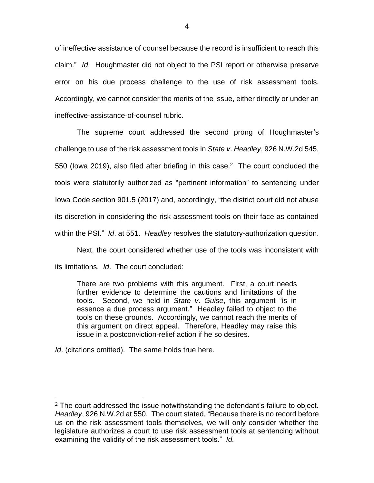of ineffective assistance of counsel because the record is insufficient to reach this claim." *Id*. Houghmaster did not object to the PSI report or otherwise preserve error on his due process challenge to the use of risk assessment tools. Accordingly, we cannot consider the merits of the issue, either directly or under an ineffective-assistance-of-counsel rubric.

The supreme court addressed the second prong of Houghmaster's challenge to use of the risk assessment tools in *State v*. *Headley*, 926 N.W.2d 545, 550 (lowa 2019), also filed after briefing in this case.<sup>2</sup> The court concluded the tools were statutorily authorized as "pertinent information" to sentencing under Iowa Code section 901.5 (2017) and, accordingly, "the district court did not abuse its discretion in considering the risk assessment tools on their face as contained within the PSI." *Id*. at 551. *Headley* resolves the statutory-authorization question.

Next, the court considered whether use of the tools was inconsistent with its limitations. *Id*. The court concluded:

There are two problems with this argument. First, a court needs further evidence to determine the cautions and limitations of the tools. Second, we held in *State v*. *Guise*, this argument "is in essence a due process argument." Headley failed to object to the tools on these grounds. Accordingly, we cannot reach the merits of this argument on direct appeal. Therefore, Headley may raise this issue in a postconviction-relief action if he so desires.

*Id.* (citations omitted). The same holds true here.

 $\overline{a}$ 

 $2$  The court addressed the issue notwithstanding the defendant's failure to object. *Headley*, 926 N.W.2d at 550. The court stated, "Because there is no record before us on the risk assessment tools themselves, we will only consider whether the legislature authorizes a court to use risk assessment tools at sentencing without examining the validity of the risk assessment tools." *Id.*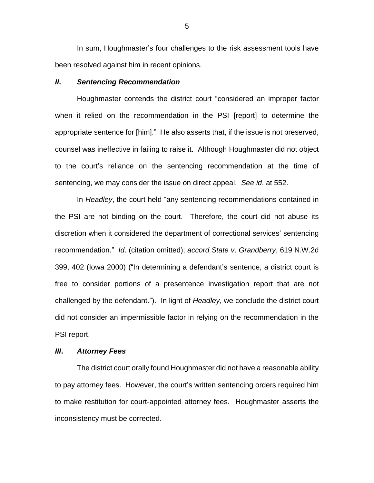In sum, Houghmaster's four challenges to the risk assessment tools have been resolved against him in recent opinions.

#### *II***.** *Sentencing Recommendation*

Houghmaster contends the district court "considered an improper factor when it relied on the recommendation in the PSI [report] to determine the appropriate sentence for [him]." He also asserts that, if the issue is not preserved, counsel was ineffective in failing to raise it. Although Houghmaster did not object to the court's reliance on the sentencing recommendation at the time of sentencing, we may consider the issue on direct appeal. *See id*. at 552.

In *Headley*, the court held "any sentencing recommendations contained in the PSI are not binding on the court. Therefore, the court did not abuse its discretion when it considered the department of correctional services' sentencing recommendation." *Id*. (citation omitted); *accord State v*. *Grandberry*, 619 N.W.2d 399, 402 (Iowa 2000) ("In determining a defendant's sentence, a district court is free to consider portions of a presentence investigation report that are not challenged by the defendant."). In light of *Headley*, we conclude the district court did not consider an impermissible factor in relying on the recommendation in the PSI report.

#### *III***.** *Attorney Fees*

The district court orally found Houghmaster did not have a reasonable ability to pay attorney fees. However, the court's written sentencing orders required him to make restitution for court-appointed attorney fees. Houghmaster asserts the inconsistency must be corrected.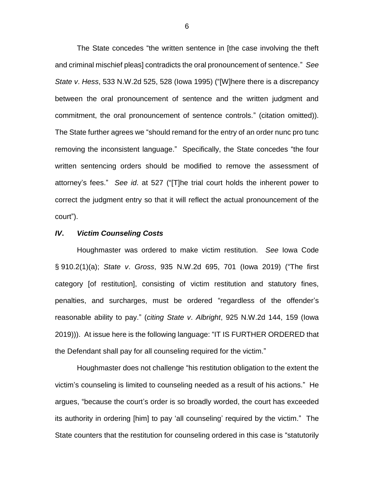The State concedes "the written sentence in [the case involving the theft and criminal mischief pleas] contradicts the oral pronouncement of sentence." *See State v*. *Hess*, 533 N.W.2d 525, 528 (Iowa 1995) ("[W]here there is a discrepancy between the oral pronouncement of sentence and the written judgment and commitment, the oral pronouncement of sentence controls." (citation omitted)). The State further agrees we "should remand for the entry of an order nunc pro tunc removing the inconsistent language." Specifically, the State concedes "the four written sentencing orders should be modified to remove the assessment of attorney's fees." *See id*. at 527 ("[T]he trial court holds the inherent power to correct the judgment entry so that it will reflect the actual pronouncement of the court").

### *IV***.** *Victim Counseling Costs*

Houghmaster was ordered to make victim restitution. *See* Iowa Code § 910.2(1)(a); *State v*. *Gross*, 935 N.W.2d 695, 701 (Iowa 2019) ("The first category [of restitution], consisting of victim restitution and statutory fines, penalties, and surcharges, must be ordered "regardless of the offender's reasonable ability to pay." (*citing State v*. *Albright*, 925 N.W.2d 144, 159 (Iowa 2019))). At issue here is the following language: "IT IS FURTHER ORDERED that the Defendant shall pay for all counseling required for the victim."

Houghmaster does not challenge "his restitution obligation to the extent the victim's counseling is limited to counseling needed as a result of his actions." He argues, "because the court's order is so broadly worded, the court has exceeded its authority in ordering [him] to pay 'all counseling' required by the victim." The State counters that the restitution for counseling ordered in this case is "statutorily